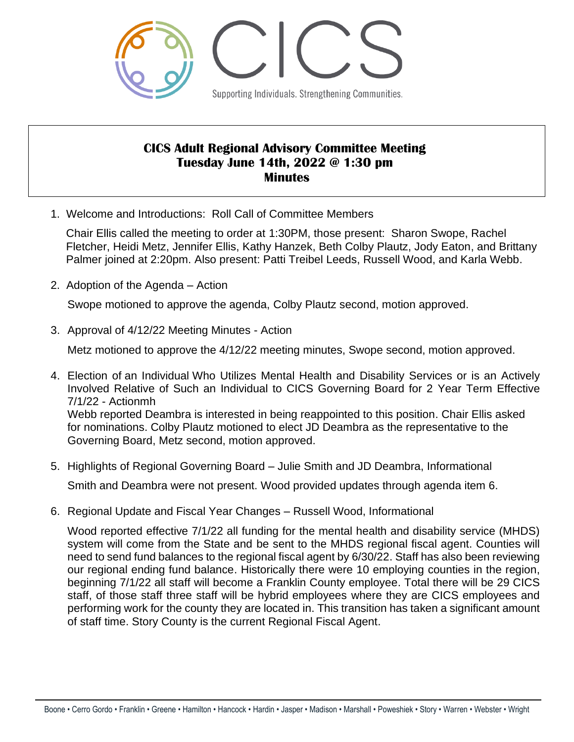

# **CICS Adult Regional Advisory Committee Meeting Tuesday June 14th, 2022 @ 1:30 pm Minutes**

1. Welcome and Introductions: Roll Call of Committee Members

Chair Ellis called the meeting to order at 1:30PM, those present: Sharon Swope, Rachel Fletcher, Heidi Metz, Jennifer Ellis, Kathy Hanzek, Beth Colby Plautz, Jody Eaton, and Brittany Palmer joined at 2:20pm. Also present: Patti Treibel Leeds, Russell Wood, and Karla Webb.

2. Adoption of the Agenda – Action

Swope motioned to approve the agenda, Colby Plautz second, motion approved.

3. Approval of 4/12/22 Meeting Minutes - Action

Metz motioned to approve the 4/12/22 meeting minutes, Swope second, motion approved.

- 4. Election of an Individual Who Utilizes Mental Health and Disability Services or is an Actively Involved Relative of Such an Individual to CICS Governing Board for 2 Year Term Effective 7/1/22 - Actionmh Webb reported Deambra is interested in being reappointed to this position. Chair Ellis asked for nominations. Colby Plautz motioned to elect JD Deambra as the representative to the Governing Board, Metz second, motion approved.
- 5. Highlights of Regional Governing Board Julie Smith and JD Deambra, Informational

Smith and Deambra were not present. Wood provided updates through agenda item 6.

6. Regional Update and Fiscal Year Changes – Russell Wood, Informational

Wood reported effective 7/1/22 all funding for the mental health and disability service (MHDS) system will come from the State and be sent to the MHDS regional fiscal agent. Counties will need to send fund balances to the regional fiscal agent by 6/30/22. Staff has also been reviewing our regional ending fund balance. Historically there were 10 employing counties in the region, beginning 7/1/22 all staff will become a Franklin County employee. Total there will be 29 CICS staff, of those staff three staff will be hybrid employees where they are CICS employees and performing work for the county they are located in. This transition has taken a significant amount of staff time. Story County is the current Regional Fiscal Agent.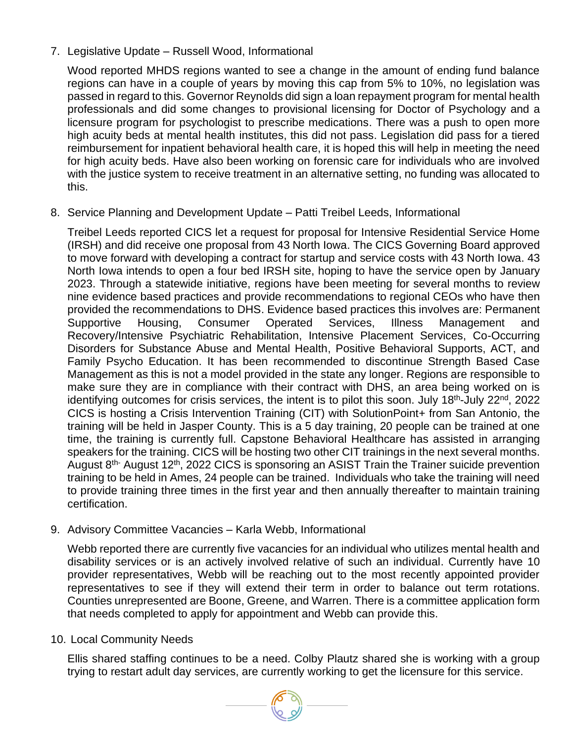# 7. Legislative Update – Russell Wood, Informational

Wood reported MHDS regions wanted to see a change in the amount of ending fund balance regions can have in a couple of years by moving this cap from 5% to 10%, no legislation was passed in regard to this. Governor Reynolds did sign a loan repayment program for mental health professionals and did some changes to provisional licensing for Doctor of Psychology and a licensure program for psychologist to prescribe medications. There was a push to open more high acuity beds at mental health institutes, this did not pass. Legislation did pass for a tiered reimbursement for inpatient behavioral health care, it is hoped this will help in meeting the need for high acuity beds. Have also been working on forensic care for individuals who are involved with the justice system to receive treatment in an alternative setting, no funding was allocated to this.

#### 8. Service Planning and Development Update – Patti Treibel Leeds, Informational

Treibel Leeds reported CICS let a request for proposal for Intensive Residential Service Home (IRSH) and did receive one proposal from 43 North Iowa. The CICS Governing Board approved to move forward with developing a contract for startup and service costs with 43 North Iowa. 43 North Iowa intends to open a four bed IRSH site, hoping to have the service open by January 2023. Through a statewide initiative, regions have been meeting for several months to review nine evidence based practices and provide recommendations to regional CEOs who have then provided the recommendations to DHS. Evidence based practices this involves are: Permanent Supportive Housing, Consumer Operated Services, Illness Management and Recovery/Intensive Psychiatric Rehabilitation, Intensive Placement Services, Co-Occurring Disorders for Substance Abuse and Mental Health, Positive Behavioral Supports, ACT, and Family Psycho Education. It has been recommended to discontinue Strength Based Case Management as this is not a model provided in the state any longer. Regions are responsible to make sure they are in compliance with their contract with DHS, an area being worked on is identifying outcomes for crisis services, the intent is to pilot this soon. July 18<sup>th</sup>-July 22<sup>nd</sup>, 2022 CICS is hosting a Crisis Intervention Training (CIT) with SolutionPoint+ from San Antonio, the training will be held in Jasper County. This is a 5 day training, 20 people can be trained at one time, the training is currently full. Capstone Behavioral Healthcare has assisted in arranging speakers for the training. CICS will be hosting two other CIT trainings in the next several months. August 8<sup>th-</sup> August 12<sup>th</sup>, 2022 CICS is sponsoring an ASIST Train the Trainer suicide prevention training to be held in Ames, 24 people can be trained. Individuals who take the training will need to provide training three times in the first year and then annually thereafter to maintain training certification.

#### 9. Advisory Committee Vacancies – Karla Webb, Informational

Webb reported there are currently five vacancies for an individual who utilizes mental health and disability services or is an actively involved relative of such an individual. Currently have 10 provider representatives, Webb will be reaching out to the most recently appointed provider representatives to see if they will extend their term in order to balance out term rotations. Counties unrepresented are Boone, Greene, and Warren. There is a committee application form that needs completed to apply for appointment and Webb can provide this.

#### 10. Local Community Needs

Ellis shared staffing continues to be a need. Colby Plautz shared she is working with a group trying to restart adult day services, are currently working to get the licensure for this service.